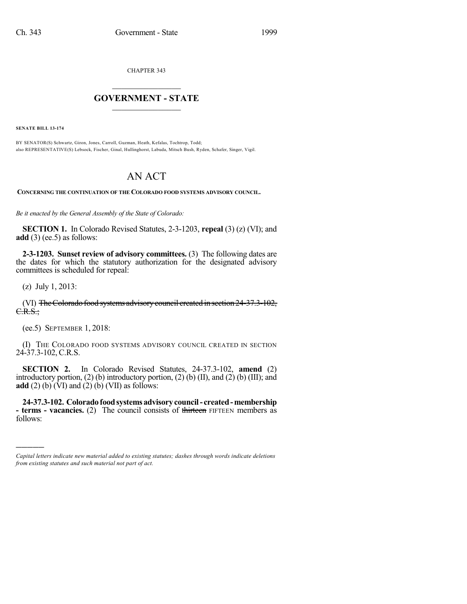CHAPTER 343

## $\overline{\phantom{a}}$  . The set of the set of the set of the set of the set of the set of the set of the set of the set of the set of the set of the set of the set of the set of the set of the set of the set of the set of the set o **GOVERNMENT - STATE**  $\_$

**SENATE BILL 13-174**

BY SENATOR(S) Schwartz, Giron, Jones, Carroll, Guzman, Heath, Kefalas, Tochtrop, Todd; also REPRESENTATIVE(S) Lebsock, Fischer, Ginal, Hullinghorst, Labuda, Mitsch Bush, Ryden, Schafer, Singer, Vigil.

## AN ACT

**CONCERNING THE CONTINUATION OF THE COLORADO FOOD SYSTEMS ADVISORY COUNCIL.**

*Be it enacted by the General Assembly of the State of Colorado:*

**SECTION 1.** In Colorado Revised Statutes, 2-3-1203, **repeal** (3) (z) (VI); and **add**  $(3)$  (ee.5) as follows:

**2-3-1203. Sunset review of advisory committees.** (3) The following dates are the dates for which the statutory authorization for the designated advisory committees is scheduled for repeal:

(z) July 1, 2013:

)))))

(VI) TheColorado food systems advisorycouncil created in section 24-37.3-102,  $C.R.S.:$ 

(ee.5) SEPTEMBER 1, 2018:

(I) THE COLORADO FOOD SYSTEMS ADVISORY COUNCIL CREATED IN SECTION 24-37.3-102, C.R.S.

**SECTION 2.** In Colorado Revised Statutes, 24-37.3-102, **amend** (2) introductory portion,  $(2)$  (b) introductory portion,  $(2)$  (b)  $(II)$ , and  $(2)$  (b)  $(III)$ ; and **add** (2) (b)  $(VI)$  and (2) (b) (VII) as follows:

**24-37.3-102. Coloradofoodsystems advisory council- created-membership - terms - vacancies.** (2) The council consists of thirteen FIFTEEN members as follows:

*Capital letters indicate new material added to existing statutes; dashes through words indicate deletions from existing statutes and such material not part of act.*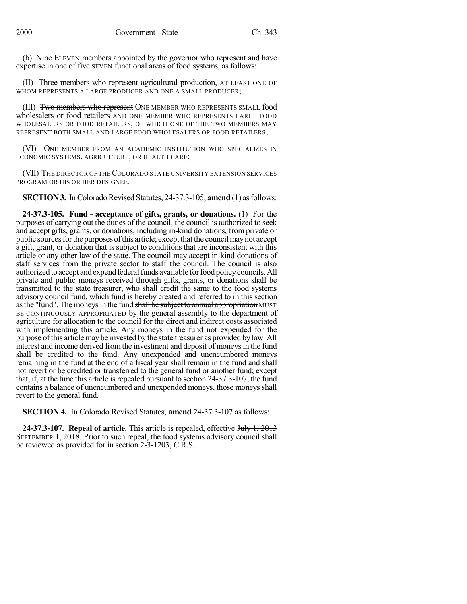(b) Nine ELEVEN members appointed by the governor who represent and have expertise in one of five SEVEN functional areas of food systems, as follows:

(II) Three members who represent agricultural production, AT LEAST ONE OF WHOM REPRESENTS A LARGE PRODUCER AND ONE A SMALL PRODUCER;

(III) Two members who represent ONE MEMBER WHO REPRESENTS SMALL food wholesalers or food retailers AND ONE MEMBER WHO REPRESENTS LARGE FOOD WHOLESALERS OR FOOD RETAILERS, OF WHICH ONE OF THE TWO MEMBERS MAY REPRESENT BOTH SMALL AND LARGE FOOD WHOLESALERS OR FOOD RETAILERS;

(VI) ONE MEMBER FROM AN ACADEMIC INSTITUTION WHO SPECIALIZES IN ECONOMIC SYSTEMS, AGRICULTURE, OR HEALTH CARE;

(VII) THE DIRECTOR OF THECOLORADO STATE UNIVERSITY EXTENSION SERVICES PROGRAM OR HIS OR HER DESIGNEE.

**SECTION 3.** In Colorado Revised Statutes, 24-37.3-105, **amend** (1) as follows:

**24-37.3-105. Fund - acceptance of gifts, grants, or donations.** (1) For the purposes of carrying out the duties of the council, the council is authorized to seek and accept gifts, grants, or donations, including in-kind donations, from private or public sourcesforthe purposes ofthis article; except that the councilmaynot accept a gift, grant, or donation that is subject to conditions that are inconsistent with this article or any other law of the state. The council may accept in-kind donations of staff services from the private sector to staff the council. The council is also authorized to accept and expend federal funds available for food policy councils. All private and public moneys received through gifts, grants, or donations shall be transmitted to the state treasurer, who shall credit the same to the food systems advisory council fund, which fund is hereby created and referred to in this section as the "fund". The moneys in the fund shall be subject to annual appropriation MUST BE CONTINUOUSLY APPROPRIATED by the general assembly to the department of agriculture for allocation to the council for the direct and indirect costs associated with implementing this article. Any moneys in the fund not expended for the purpose ofthis article may be invested by the state treasurer as provided by law. All interest and income derived fromthe investment and deposit of moneysin the fund shall be credited to the fund. Any unexpended and unencumbered moneys remaining in the fund at the end of a fiscal year shall remain in the fund and shall not revert or be credited or transferred to the general fund or another fund; except that, if, at the time this article is repealed pursuant to section 24-37.3-107, the fund contains a balance of unencumbered and unexpended moneys, those moneys shall revert to the general fund.

**SECTION 4.** In Colorado Revised Statutes, **amend** 24-37.3-107 as follows:

**24-37.3-107. Repeal of article.** This article is repealed, effective July 1, 2013 SEPTEMBER 1, 2018. Prior to such repeal, the food systems advisory council shall be reviewed as provided for in section 2-3-1203, C.R.S.